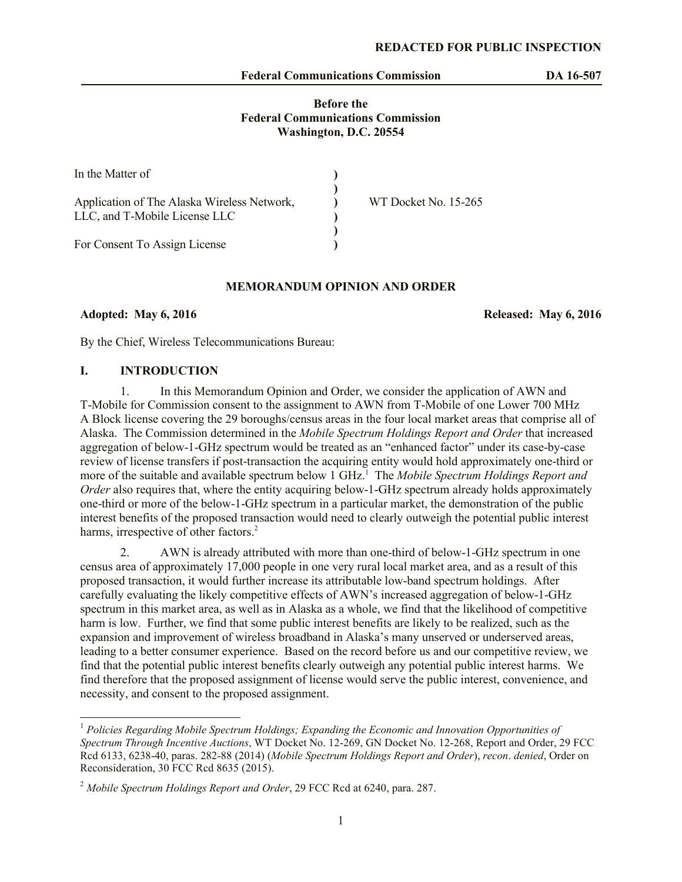#### **Federal Communications Commission DA 16-507**

## **Before the Federal Communications Commission Washington, D.C. 20554**

| In the Matter of                            |                      |
|---------------------------------------------|----------------------|
| Application of The Alaska Wireless Network, | WT Docket No. 15-265 |
| LLC, and T-Mobile License LLC               |                      |
|                                             |                      |
| For Consent To Assign License               |                      |

#### **MEMORANDUM OPINION AND ORDER**

**Adopted: May 6, 2016 Released: May 6, 2016**

 $\overline{\phantom{a}}$ 

By the Chief, Wireless Telecommunications Bureau:

### **I. INTRODUCTION**

1. In this Memorandum Opinion and Order, we consider the application of AWN and T-Mobile for Commission consent to the assignment to AWN from T-Mobile of one Lower 700 MHz A Block license covering the 29 boroughs/census areas in the four local market areas that comprise all of Alaska. The Commission determined in the *Mobile Spectrum Holdings Report and Order* that increased aggregation of below-1-GHz spectrum would be treated as an "enhanced factor" under its case-by-case review of license transfers if post-transaction the acquiring entity would hold approximately one-third or more of the suitable and available spectrum below 1 GHz. <sup>1</sup> The *Mobile Spectrum Holdings Report and Order* also requires that, where the entity acquiring below-1-GHz spectrum already holds approximately one-third or more of the below-1-GHz spectrum in a particular market, the demonstration of the public interest benefits of the proposed transaction would need to clearly outweigh the potential public interest harms, irrespective of other factors.<sup>2</sup>

2. AWN is already attributed with more than one-third of below-1-GHz spectrum in one census area of approximately 17,000 people in one very rural local market area, and as a result of this proposed transaction, it would further increase its attributable low-band spectrum holdings. After carefully evaluating the likely competitive effects of AWN's increased aggregation of below-1-GHz spectrum in this market area, as well as in Alaska as a whole, we find that the likelihood of competitive harm is low. Further, we find that some public interest benefits are likely to be realized, such as the expansion and improvement of wireless broadband in Alaska's many unserved or underserved areas, leading to a better consumer experience. Based on the record before us and our competitive review, we find that the potential public interest benefits clearly outweigh any potential public interest harms. We find therefore that the proposed assignment of license would serve the public interest, convenience, and necessity, and consent to the proposed assignment.

<sup>1</sup> *Policies Regarding Mobile Spectrum Holdings; Expanding the Economic and Innovation Opportunities of Spectrum Through Incentive Auctions*, WT Docket No. 12-269, GN Docket No. 12-268, Report and Order, 29 FCC Rcd 6133, 6238-40, paras. 282-88 (2014) (*Mobile Spectrum Holdings Report and Order*), *recon*. *denied*, Order on Reconsideration, 30 FCC Rcd 8635 (2015).

<sup>2</sup> *Mobile Spectrum Holdings Report and Order*, 29 FCC Rcd at 6240, para. 287.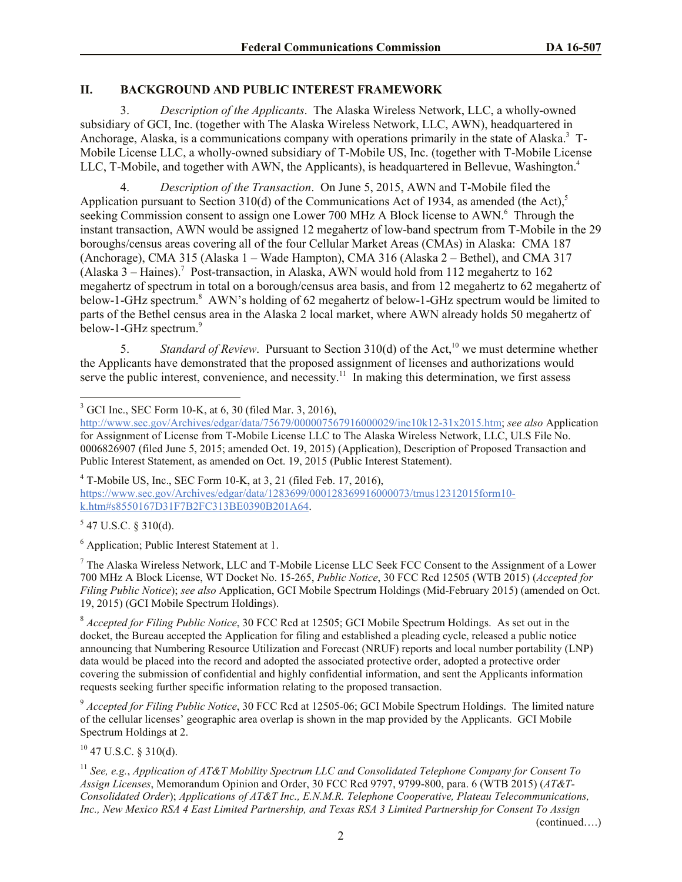# **II. BACKGROUND AND PUBLIC INTEREST FRAMEWORK**

3. *Description of the Applicants*. The Alaska Wireless Network, LLC, a wholly-owned subsidiary of GCI, Inc. (together with The Alaska Wireless Network, LLC, AWN), headquartered in Anchorage, Alaska, is a communications company with operations primarily in the state of Alaska.<sup>3</sup> T-Mobile License LLC, a wholly-owned subsidiary of T-Mobile US, Inc. (together with T-Mobile License LLC, T-Mobile, and together with AWN, the Applicants), is headquartered in Bellevue, Washington.<sup>4</sup>

4. *Description of the Transaction*. On June 5, 2015, AWN and T-Mobile filed the Application pursuant to Section 310(d) of the Communications Act of 1934, as amended (the Act),<sup>5</sup> seeking Commission consent to assign one Lower 700 MHz A Block license to AWN.<sup>6</sup> Through the instant transaction, AWN would be assigned 12 megahertz of low-band spectrum from T-Mobile in the 29 boroughs/census areas covering all of the four Cellular Market Areas (CMAs) in Alaska: CMA 187 (Anchorage), CMA 315 (Alaska 1 – Wade Hampton), CMA 316 (Alaska 2 – Bethel), and CMA 317 (Alaska 3 – Haines). 7 Post-transaction, in Alaska, AWN would hold from 112 megahertz to 162 megahertz of spectrum in total on a borough/census area basis, and from 12 megahertz to 62 megahertz of below-1-GHz spectrum. 8 AWN's holding of 62 megahertz of below-1-GHz spectrum would be limited to parts of the Bethel census area in the Alaska 2 local market, where AWN already holds 50 megahertz of below-1-GHz spectrum.<sup>9</sup>

5. *Standard of Review.* Pursuant to Section 310(d) of the Act,<sup>10</sup> we must determine whether the Applicants have demonstrated that the proposed assignment of licenses and authorizations would serve the public interest, convenience, and necessity.<sup>11</sup> In making this determination, we first assess

 $4$  T-Mobile US, Inc., SEC Form 10-K, at 3, 21 (filed Feb. 17, 2016), https://www.sec.gov/Archives/edgar/data/1283699/000128369916000073/tmus12312015form10 k.htm#s8550167D31F7B2FC313BE0390B201A64.

 $5$  47 U.S.C. § 310(d).

<sup>6</sup> Application; Public Interest Statement at 1.

 $<sup>7</sup>$  The Alaska Wireless Network, LLC and T-Mobile License LLC Seek FCC Consent to the Assignment of a Lower</sup> 700 MHz A Block License, WT Docket No. 15-265, *Public Notice*, 30 FCC Rcd 12505 (WTB 2015) (*Accepted for Filing Public Notice*); *see also* Application, GCI Mobile Spectrum Holdings (Mid-February 2015) (amended on Oct. 19, 2015) (GCI Mobile Spectrum Holdings).

<sup>8</sup> *Accepted for Filing Public Notice*, 30 FCC Rcd at 12505; GCI Mobile Spectrum Holdings. As set out in the docket, the Bureau accepted the Application for filing and established a pleading cycle, released a public notice announcing that Numbering Resource Utilization and Forecast (NRUF) reports and local number portability (LNP) data would be placed into the record and adopted the associated protective order, adopted a protective order covering the submission of confidential and highly confidential information, and sent the Applicants information requests seeking further specific information relating to the proposed transaction.

<sup>9</sup> *Accepted for Filing Public Notice*, 30 FCC Rcd at 12505-06; GCI Mobile Spectrum Holdings. The limited nature of the cellular licenses' geographic area overlap is shown in the map provided by the Applicants. GCI Mobile Spectrum Holdings at 2.

 $10$  47 U.S.C. § 310(d).

<sup>11</sup> *See, e.g.*, *Application of AT&T Mobility Spectrum LLC and Consolidated Telephone Company for Consent To Assign Licenses*, Memorandum Opinion and Order, 30 FCC Rcd 9797, 9799-800, para. 6 (WTB 2015) (*AT&T-Consolidated Order*); *Applications of AT&T Inc., E.N.M.R. Telephone Cooperative, Plateau Telecommunications, Inc., New Mexico RSA 4 East Limited Partnership, and Texas RSA 3 Limited Partnership for Consent To Assign* 

(continued….)

 $\overline{\phantom{a}}$  $3$  GCI Inc., SEC Form 10-K, at 6, 30 (filed Mar. 3, 2016),

http://www.sec.gov/Archives/edgar/data/75679/000007567916000029/inc10k12-31x2015.htm; *see also* Application for Assignment of License from T-Mobile License LLC to The Alaska Wireless Network, LLC, ULS File No. 0006826907 (filed June 5, 2015; amended Oct. 19, 2015) (Application), Description of Proposed Transaction and Public Interest Statement, as amended on Oct. 19, 2015 (Public Interest Statement).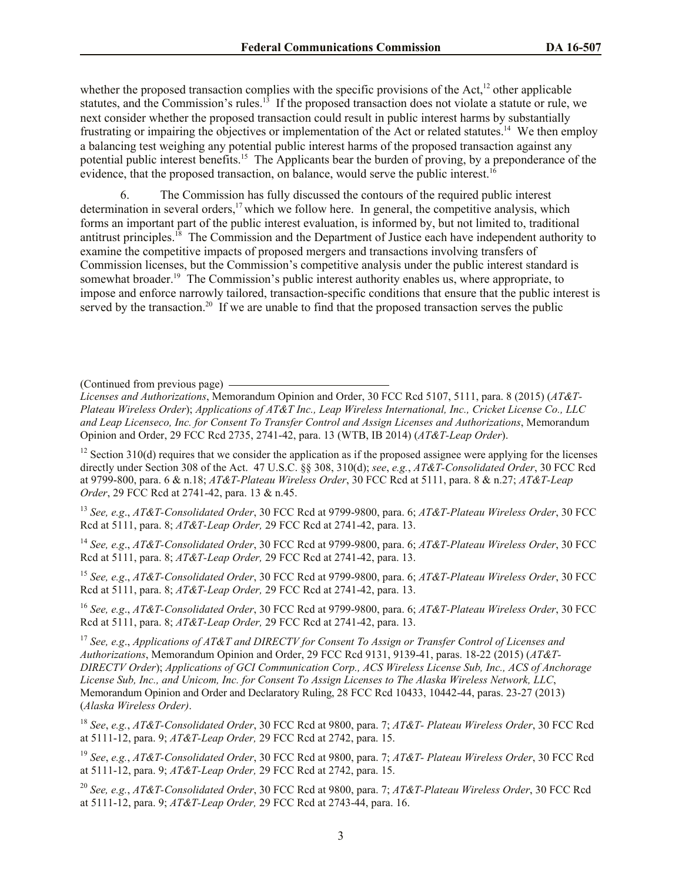whether the proposed transaction complies with the specific provisions of the Act, $12$  other applicable statutes, and the Commission's rules.<sup>13</sup> If the proposed transaction does not violate a statute or rule, we next consider whether the proposed transaction could result in public interest harms by substantially frustrating or impairing the objectives or implementation of the Act or related statutes.<sup>14</sup> We then employ a balancing test weighing any potential public interest harms of the proposed transaction against any potential public interest benefits.<sup>15</sup> The Applicants bear the burden of proving, by a preponderance of the evidence, that the proposed transaction, on balance, would serve the public interest.<sup>16</sup>

6. The Commission has fully discussed the contours of the required public interest determination in several orders, $17$  which we follow here. In general, the competitive analysis, which forms an important part of the public interest evaluation, is informed by, but not limited to, traditional antitrust principles.<sup>18</sup> The Commission and the Department of Justice each have independent authority to examine the competitive impacts of proposed mergers and transactions involving transfers of Commission licenses, but the Commission's competitive analysis under the public interest standard is somewhat broader.<sup>19</sup> The Commission's public interest authority enables us, where appropriate, to impose and enforce narrowly tailored, transaction-specific conditions that ensure that the public interest is served by the transaction.<sup>20</sup> If we are unable to find that the proposed transaction serves the public

(Continued from previous page)

*Licenses and Authorizations*, Memorandum Opinion and Order, 30 FCC Rcd 5107, 5111, para. 8 (2015) (*AT&T-Plateau Wireless Order*); *Applications of AT&T Inc., Leap Wireless International, Inc., Cricket License Co., LLC and Leap Licenseco, Inc. for Consent To Transfer Control and Assign Licenses and Authorizations*, Memorandum Opinion and Order, 29 FCC Rcd 2735, 2741-42, para. 13 (WTB, IB 2014) (*AT&T-Leap Order*).

<sup>12</sup> Section 310(d) requires that we consider the application as if the proposed assignee were applying for the licenses directly under Section 308 of the Act. 47 U.S.C. §§ 308, 310(d); *see*, *e.g.*, *AT&T-Consolidated Order*, 30 FCC Rcd at 9799-800, para. 6 & n.18; *AT&T-Plateau Wireless Order*, 30 FCC Rcd at 5111, para. 8 & n.27; *AT&T-Leap Order*, 29 FCC Rcd at 2741-42, para. 13 & n.45.

<sup>13</sup> *See, e.g*., *AT&T-Consolidated Order*, 30 FCC Rcd at 9799-9800, para. 6; *AT&T-Plateau Wireless Order*, 30 FCC Rcd at 5111, para. 8; *AT&T-Leap Order,* 29 FCC Rcd at 2741-42, para. 13.

<sup>14</sup> *See, e.g*., *AT&T-Consolidated Order*, 30 FCC Rcd at 9799-9800, para. 6; *AT&T-Plateau Wireless Order*, 30 FCC Rcd at 5111, para. 8; *AT&T-Leap Order,* 29 FCC Rcd at 2741-42, para. 13.

<sup>15</sup> *See, e.g*., *AT&T-Consolidated Order*, 30 FCC Rcd at 9799-9800, para. 6; *AT&T-Plateau Wireless Order*, 30 FCC Rcd at 5111, para. 8; *AT&T-Leap Order,* 29 FCC Rcd at 2741-42, para. 13.

<sup>16</sup> *See, e.g*., *AT&T-Consolidated Order*, 30 FCC Rcd at 9799-9800, para. 6; *AT&T-Plateau Wireless Order*, 30 FCC Rcd at 5111, para. 8; *AT&T-Leap Order,* 29 FCC Rcd at 2741-42, para. 13.

<sup>17</sup> *See, e.g*., *Applications of AT&T and DIRECTV for Consent To Assign or Transfer Control of Licenses and Authorizations*, Memorandum Opinion and Order, 29 FCC Rcd 9131, 9139-41, paras. 18-22 (2015) (*AT&T-DIRECTV Order*); *Applications of GCI Communication Corp., ACS Wireless License Sub, Inc., ACS of Anchorage License Sub, Inc., and Unicom, Inc. for Consent To Assign Licenses to The Alaska Wireless Network, LLC*, Memorandum Opinion and Order and Declaratory Ruling, 28 FCC Rcd 10433, 10442-44, paras. 23-27 (2013) (*Alaska Wireless Order)*.

<sup>18</sup> *See*, *e.g.*, *AT&T-Consolidated Order*, 30 FCC Rcd at 9800, para. 7; *AT&T- Plateau Wireless Order*, 30 FCC Rcd at 5111-12, para. 9; *AT&T-Leap Order,* 29 FCC Rcd at 2742, para. 15.

<sup>19</sup> *See*, *e.g.*, *AT&T-Consolidated Order*, 30 FCC Rcd at 9800, para. 7; *AT&T- Plateau Wireless Order*, 30 FCC Rcd at 5111-12, para. 9; *AT&T-Leap Order,* 29 FCC Rcd at 2742, para. 15.

<sup>20</sup> *See, e.g.*, *AT&T-Consolidated Order*, 30 FCC Rcd at 9800, para. 7; *AT&T-Plateau Wireless Order*, 30 FCC Rcd at 5111-12, para. 9; *AT&T-Leap Order,* 29 FCC Rcd at 2743-44, para. 16.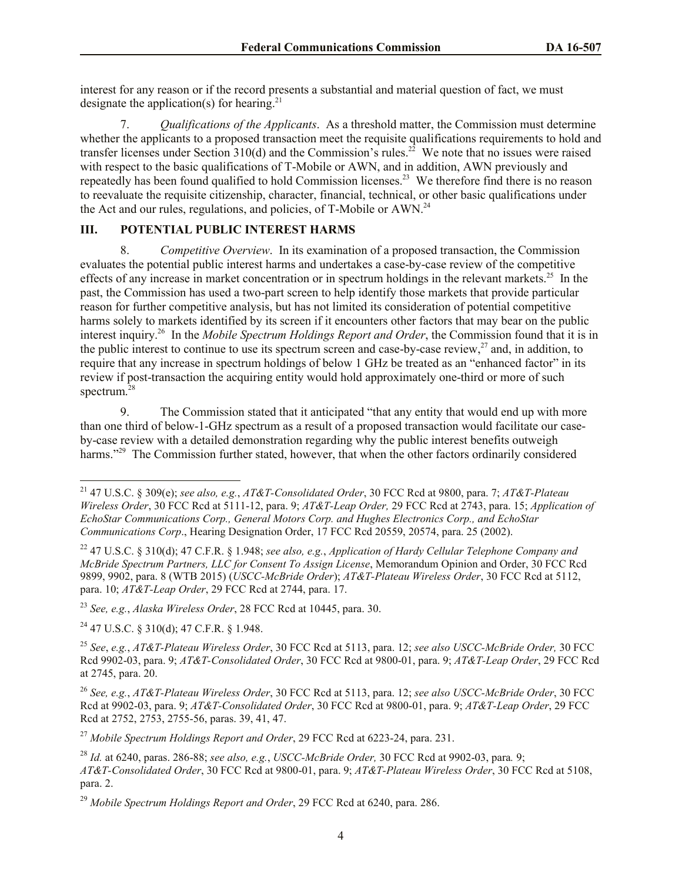interest for any reason or if the record presents a substantial and material question of fact, we must designate the application(s) for hearing.<sup>21</sup>

7. *Qualifications of the Applicants*. As a threshold matter, the Commission must determine whether the applicants to a proposed transaction meet the requisite qualifications requirements to hold and transfer licenses under Section  $310(d)$  and the Commission's rules.<sup>22</sup> We note that no issues were raised with respect to the basic qualifications of T-Mobile or AWN, and in addition, AWN previously and repeatedly has been found qualified to hold Commission licenses.<sup>23</sup> We therefore find there is no reason to reevaluate the requisite citizenship, character, financial, technical, or other basic qualifications under the Act and our rules, regulations, and policies, of T-Mobile or AWN.<sup>24</sup>

# **III. POTENTIAL PUBLIC INTEREST HARMS**

8. *Competitive Overview*. In its examination of a proposed transaction, the Commission evaluates the potential public interest harms and undertakes a case-by-case review of the competitive effects of any increase in market concentration or in spectrum holdings in the relevant markets.<sup>25</sup> In the past, the Commission has used a two-part screen to help identify those markets that provide particular reason for further competitive analysis, but has not limited its consideration of potential competitive harms solely to markets identified by its screen if it encounters other factors that may bear on the public interest inquiry.<sup>26</sup> In the *Mobile Spectrum Holdings Report and Order*, the Commission found that it is in the public interest to continue to use its spectrum screen and case-by-case review, $^{27}$  and, in addition, to require that any increase in spectrum holdings of below 1 GHz be treated as an "enhanced factor" in its review if post-transaction the acquiring entity would hold approximately one-third or more of such spectrum. 28

9. The Commission stated that it anticipated "that any entity that would end up with more than one third of below-1-GHz spectrum as a result of a proposed transaction would facilitate our caseby-case review with a detailed demonstration regarding why the public interest benefits outweigh harms."<sup>29</sup> The Commission further stated, however, that when the other factors ordinarily considered

<sup>23</sup> *See, e.g.*, *Alaska Wireless Order*, 28 FCC Rcd at 10445, para. 30.

<sup>24</sup> 47 U.S.C. § 310(d); 47 C.F.R. § 1.948.

 $\overline{\phantom{a}}$ 

<sup>25</sup> *See*, *e.g.*, *AT&T-Plateau Wireless Order*, 30 FCC Rcd at 5113, para. 12; *see also USCC-McBride Order,* 30 FCC Rcd 9902-03, para. 9; *AT&T-Consolidated Order*, 30 FCC Rcd at 9800-01, para. 9; *AT&T-Leap Order*, 29 FCC Rcd at 2745, para. 20.

<sup>26</sup> *See, e.g.*, *AT&T-Plateau Wireless Order*, 30 FCC Rcd at 5113, para. 12; *see also USCC-McBride Order*, 30 FCC Rcd at 9902-03, para. 9; *AT&T-Consolidated Order*, 30 FCC Rcd at 9800-01, para. 9; *AT&T-Leap Order*, 29 FCC Rcd at 2752, 2753, 2755-56, paras. 39, 41, 47.

<sup>27</sup> *Mobile Spectrum Holdings Report and Order*, 29 FCC Rcd at 6223-24, para. 231.

<sup>21</sup> 47 U.S.C. § 309(e); *see also, e.g.*, *AT&T-Consolidated Order*, 30 FCC Rcd at 9800, para. 7; *AT&T-Plateau Wireless Order*, 30 FCC Rcd at 5111-12, para. 9; *AT&T-Leap Order,* 29 FCC Rcd at 2743, para. 15; *Application of EchoStar Communications Corp., General Motors Corp. and Hughes Electronics Corp., and EchoStar Communications Corp*., Hearing Designation Order, 17 FCC Rcd 20559, 20574, para. 25 (2002).

<sup>22</sup> 47 U.S.C. § 310(d); 47 C.F.R. § 1.948; *see also, e.g.*, *Application of Hardy Cellular Telephone Company and McBride Spectrum Partners, LLC for Consent To Assign License*, Memorandum Opinion and Order, 30 FCC Rcd 9899, 9902, para. 8 (WTB 2015) (*USCC-McBride Order*); *AT&T-Plateau Wireless Order*, 30 FCC Rcd at 5112, para. 10; *AT&T-Leap Order*, 29 FCC Rcd at 2744, para. 17.

<sup>28</sup> *Id.* at 6240, paras. 286-88; *see also, e.g.*, *USCC-McBride Order,* 30 FCC Rcd at 9902-03, para*.* 9; *AT&T-Consolidated Order*, 30 FCC Rcd at 9800-01, para. 9; *AT&T-Plateau Wireless Order*, 30 FCC Rcd at 5108, para. 2.

<sup>29</sup> *Mobile Spectrum Holdings Report and Order*, 29 FCC Rcd at 6240, para. 286.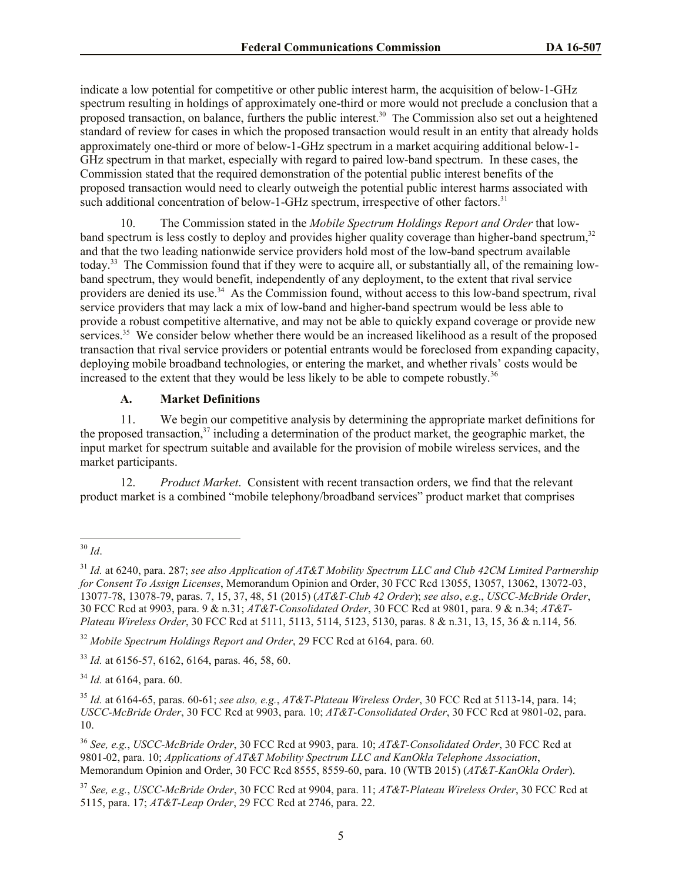indicate a low potential for competitive or other public interest harm, the acquisition of below-1-GHz spectrum resulting in holdings of approximately one-third or more would not preclude a conclusion that a proposed transaction, on balance, furthers the public interest.<sup>30</sup> The Commission also set out a heightened standard of review for cases in which the proposed transaction would result in an entity that already holds approximately one-third or more of below-1-GHz spectrum in a market acquiring additional below-1- GHz spectrum in that market, especially with regard to paired low-band spectrum. In these cases, the Commission stated that the required demonstration of the potential public interest benefits of the proposed transaction would need to clearly outweigh the potential public interest harms associated with such additional concentration of below-1-GHz spectrum, irrespective of other factors.<sup>31</sup>

10. The Commission stated in the *Mobile Spectrum Holdings Report and Order* that lowband spectrum is less costly to deploy and provides higher quality coverage than higher-band spectrum,<sup>32</sup> and that the two leading nationwide service providers hold most of the low-band spectrum available today.<sup>33</sup> The Commission found that if they were to acquire all, or substantially all, of the remaining lowband spectrum, they would benefit, independently of any deployment, to the extent that rival service providers are denied its use.<sup>34</sup> As the Commission found, without access to this low-band spectrum, rival service providers that may lack a mix of low-band and higher-band spectrum would be less able to provide a robust competitive alternative, and may not be able to quickly expand coverage or provide new services.<sup>35</sup> We consider below whether there would be an increased likelihood as a result of the proposed transaction that rival service providers or potential entrants would be foreclosed from expanding capacity, deploying mobile broadband technologies, or entering the market, and whether rivals' costs would be increased to the extent that they would be less likely to be able to compete robustly.<sup>36</sup>

### **A. Market Definitions**

11. We begin our competitive analysis by determining the appropriate market definitions for the proposed transaction,<sup>37</sup> including a determination of the product market, the geographic market, the input market for spectrum suitable and available for the provision of mobile wireless services, and the market participants.

12. *Product Market*. Consistent with recent transaction orders, we find that the relevant product market is a combined "mobile telephony/broadband services" product market that comprises

<sup>32</sup> *Mobile Spectrum Holdings Report and Order*, 29 FCC Rcd at 6164, para. 60.

<sup>33</sup> *Id.* at 6156-57, 6162, 6164, paras. 46, 58, 60.

<sup>34</sup> *Id.* at 6164, para. 60.

<sup>36</sup> *See, e.g.*, *USCC-McBride Order*, 30 FCC Rcd at 9903, para. 10; *AT&T-Consolidated Order*, 30 FCC Rcd at 9801-02, para. 10; *Applications of AT&T Mobility Spectrum LLC and KanOkla Telephone Association*, Memorandum Opinion and Order, 30 FCC Rcd 8555, 8559-60, para. 10 (WTB 2015) (*AT&T-KanOkla Order*).

l <sup>30</sup> *Id*.

<sup>31</sup> *Id.* at 6240, para. 287; *see also Application of AT&T Mobility Spectrum LLC and Club 42CM Limited Partnership for Consent To Assign Licenses*, Memorandum Opinion and Order, 30 FCC Rcd 13055, 13057, 13062, 13072-03, 13077-78, 13078-79, paras. 7, 15, 37, 48, 51 (2015) (*AT&T-Club 42 Order*); *see also*, *e.g*., *USCC-McBride Order*, 30 FCC Rcd at 9903, para. 9 & n.31; *AT&T-Consolidated Order*, 30 FCC Rcd at 9801, para. 9 & n.34; *AT&T-Plateau Wireless Order*, 30 FCC Rcd at 5111, 5113, 5114, 5123, 5130, paras. 8 & n.31, 13, 15, 36 & n.114, 56*.*

<sup>35</sup> *Id.* at 6164-65, paras. 60-61; *see also, e.g.*, *AT&T-Plateau Wireless Order*, 30 FCC Rcd at 5113-14, para. 14; *USCC-McBride Order*, 30 FCC Rcd at 9903, para. 10; *AT&T-Consolidated Order*, 30 FCC Rcd at 9801-02, para. 10.

<sup>37</sup> *See, e.g.*, *USCC-McBride Order*, 30 FCC Rcd at 9904, para. 11; *AT&T-Plateau Wireless Order*, 30 FCC Rcd at 5115, para. 17; *AT&T-Leap Order*, 29 FCC Rcd at 2746, para. 22.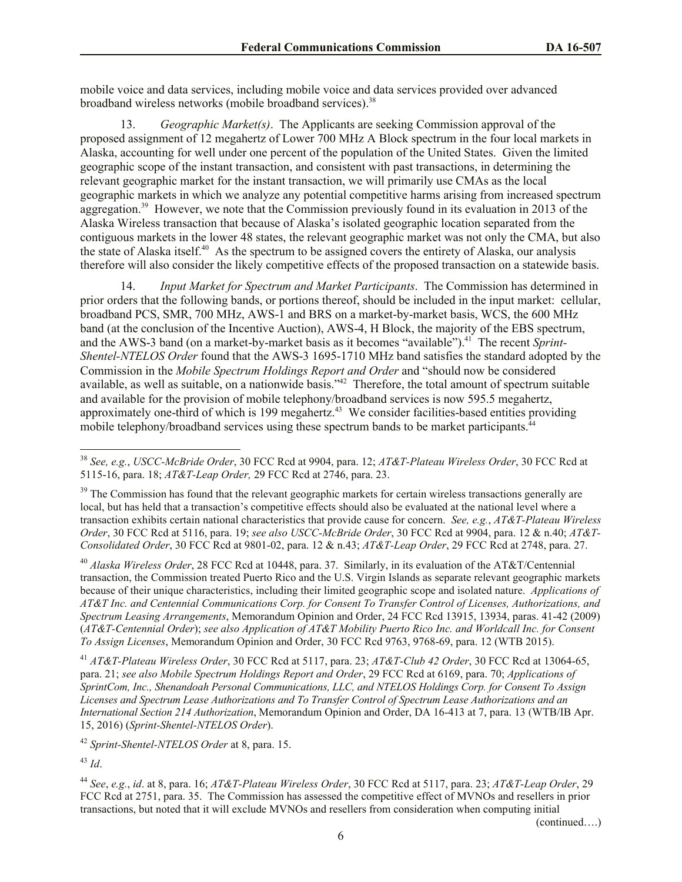mobile voice and data services, including mobile voice and data services provided over advanced broadband wireless networks (mobile broadband services).<sup>38</sup>

13. *Geographic Market(s)*. The Applicants are seeking Commission approval of the proposed assignment of 12 megahertz of Lower 700 MHz A Block spectrum in the four local markets in Alaska, accounting for well under one percent of the population of the United States. Given the limited geographic scope of the instant transaction, and consistent with past transactions, in determining the relevant geographic market for the instant transaction, we will primarily use CMAs as the local geographic markets in which we analyze any potential competitive harms arising from increased spectrum aggregation.<sup>39</sup> However, we note that the Commission previously found in its evaluation in 2013 of the Alaska Wireless transaction that because of Alaska's isolated geographic location separated from the contiguous markets in the lower 48 states, the relevant geographic market was not only the CMA, but also the state of Alaska itself.<sup>40</sup> As the spectrum to be assigned covers the entirety of Alaska, our analysis therefore will also consider the likely competitive effects of the proposed transaction on a statewide basis.

14. *Input Market for Spectrum and Market Participants*. The Commission has determined in prior orders that the following bands, or portions thereof, should be included in the input market: cellular, broadband PCS, SMR, 700 MHz, AWS-1 and BRS on a market-by-market basis, WCS, the 600 MHz band (at the conclusion of the Incentive Auction), AWS-4, H Block, the majority of the EBS spectrum, and the AWS-3 band (on a market-by-market basis as it becomes "available").<sup>41</sup> The recent Sprint-*Shentel-NTELOS Order* found that the AWS-3 1695-1710 MHz band satisfies the standard adopted by the Commission in the *Mobile Spectrum Holdings Report and Order* and "should now be considered available, as well as suitable, on a nationwide basis."<sup>42</sup> Therefore, the total amount of spectrum suitable and available for the provision of mobile telephony/broadband services is now 595.5 megahertz, approximately one-third of which is 199 megahertz.<sup>43</sup> We consider facilities-based entities providing mobile telephony/broadband services using these spectrum bands to be market participants.<sup>44</sup>

<sup>40</sup> *Alaska Wireless Order*, 28 FCC Rcd at 10448, para. 37. Similarly, in its evaluation of the AT&T/Centennial transaction, the Commission treated Puerto Rico and the U.S. Virgin Islands as separate relevant geographic markets because of their unique characteristics, including their limited geographic scope and isolated nature. *Applications of AT&T Inc. and Centennial Communications Corp. for Consent To Transfer Control of Licenses, Authorizations, and Spectrum Leasing Arrangements*, Memorandum Opinion and Order, 24 FCC Rcd 13915, 13934, paras. 41-42 (2009) (*AT&T-Centennial Order*); *see also Application of AT&T Mobility Puerto Rico Inc. and Worldcall Inc. for Consent To Assign Licenses*, Memorandum Opinion and Order, 30 FCC Rcd 9763, 9768-69, para. 12 (WTB 2015).

<sup>41</sup> *AT&T-Plateau Wireless Order*, 30 FCC Rcd at 5117, para. 23; *AT&T-Club 42 Order*, 30 FCC Rcd at 13064-65, para. 21; *see also Mobile Spectrum Holdings Report and Order*, 29 FCC Rcd at 6169, para. 70; *Applications of SprintCom, Inc., Shenandoah Personal Communications, LLC, and NTELOS Holdings Corp. for Consent To Assign Licenses and Spectrum Lease Authorizations and To Transfer Control of Spectrum Lease Authorizations and an International Section 214 Authorization*, Memorandum Opinion and Order, DA 16-413 at 7, para. 13 (WTB/IB Apr. 15, 2016) (*Sprint-Shentel-NTELOS Order*).

<sup>42</sup> *Sprint-Shentel-NTELOS Order* at 8, para. 15.

<sup>43</sup> *Id*.

 $\overline{\phantom{a}}$ 

<sup>44</sup> *See*, *e.g.*, *id*. at 8, para. 16; *AT&T-Plateau Wireless Order*, 30 FCC Rcd at 5117, para. 23; *AT&T-Leap Order*, 29 FCC Rcd at 2751, para. 35. The Commission has assessed the competitive effect of MVNOs and resellers in prior transactions, but noted that it will exclude MVNOs and resellers from consideration when computing initial

(continued….)

<sup>38</sup> *See, e.g.*, *USCC-McBride Order*, 30 FCC Rcd at 9904, para. 12; *AT&T-Plateau Wireless Order*, 30 FCC Rcd at 5115-16, para. 18; *AT&T-Leap Order,* 29 FCC Rcd at 2746, para. 23.

<sup>&</sup>lt;sup>39</sup> The Commission has found that the relevant geographic markets for certain wireless transactions generally are local, but has held that a transaction's competitive effects should also be evaluated at the national level where a transaction exhibits certain national characteristics that provide cause for concern. *See, e.g.*, *AT&T-Plateau Wireless Order*, 30 FCC Rcd at 5116, para. 19; *see also USCC-McBride Order*, 30 FCC Rcd at 9904, para. 12 & n.40; *AT&T-Consolidated Order*, 30 FCC Rcd at 9801-02, para. 12 & n.43; *AT&T-Leap Order*, 29 FCC Rcd at 2748, para. 27.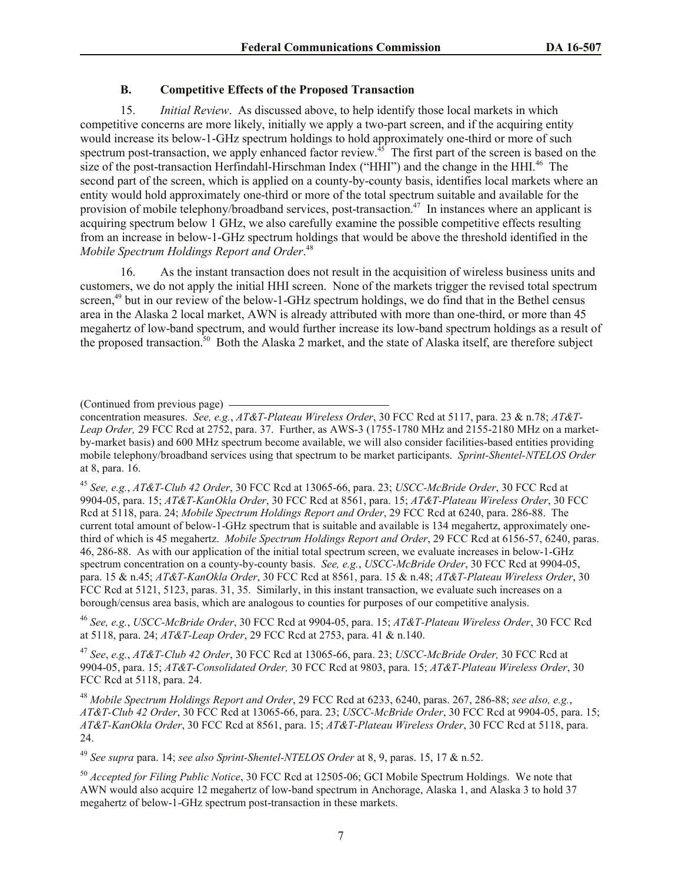# **B. Competitive Effects of the Proposed Transaction**

15. *Initial Review*. As discussed above, to help identify those local markets in which competitive concerns are more likely, initially we apply a two-part screen, and if the acquiring entity would increase its below-1-GHz spectrum holdings to hold approximately one-third or more of such spectrum post-transaction, we apply enhanced factor review.<sup>45</sup> The first part of the screen is based on the size of the post-transaction Herfindahl-Hirschman Index ("HHI") and the change in the HHI.<sup>46</sup> The second part of the screen, which is applied on a county-by-county basis, identifies local markets where an entity would hold approximately one-third or more of the total spectrum suitable and available for the provision of mobile telephony/broadband services, post-transaction.<sup>47</sup> In instances where an applicant is acquiring spectrum below 1 GHz, we also carefully examine the possible competitive effects resulting from an increase in below-1-GHz spectrum holdings that would be above the threshold identified in the *Mobile Spectrum Holdings Report and Order*. 48

16. As the instant transaction does not result in the acquisition of wireless business units and customers, we do not apply the initial HHI screen. None of the markets trigger the revised total spectrum screen,<sup>49</sup> but in our review of the below-1-GHz spectrum holdings, we do find that in the Bethel census area in the Alaska 2 local market, AWN is already attributed with more than one-third, or more than 45 megahertz of low-band spectrum, and would further increase its low-band spectrum holdings as a result of the proposed transaction.<sup>50</sup> Both the Alaska 2 market, and the state of Alaska itself, are therefore subject

<sup>45</sup> *See, e.g.*, *AT&T-Club 42 Order*, 30 FCC Rcd at 13065-66, para. 23; *USCC-McBride Order*, 30 FCC Rcd at 9904-05, para. 15; *AT&T-KanOkla Order*, 30 FCC Rcd at 8561, para. 15; *AT&T-Plateau Wireless Order*, 30 FCC Rcd at 5118, para. 24; *Mobile Spectrum Holdings Report and Order*, 29 FCC Rcd at 6240, para. 286-88. The current total amount of below-1-GHz spectrum that is suitable and available is 134 megahertz, approximately onethird of which is 45 megahertz. *Mobile Spectrum Holdings Report and Order*, 29 FCC Rcd at 6156-57, 6240, paras. 46, 286-88. As with our application of the initial total spectrum screen, we evaluate increases in below-1-GHz spectrum concentration on a county-by-county basis. *See, e.g.*, *USCC-McBride Order*, 30 FCC Rcd at 9904-05, para. 15 & n.45; *AT&T-KanOkla Order*, 30 FCC Rcd at 8561, para. 15 & n.48; *AT&T-Plateau Wireless Order*, 30 FCC Rcd at 5121, 5123, paras. 31, 35. Similarly, in this instant transaction, we evaluate such increases on a borough/census area basis, which are analogous to counties for purposes of our competitive analysis.

<sup>46</sup> *See, e.g.*, *USCC-McBride Order*, 30 FCC Rcd at 9904-05, para. 15; *AT&T-Plateau Wireless Order*, 30 FCC Rcd at 5118, para. 24; *AT&T-Leap Order*, 29 FCC Rcd at 2753, para. 41 & n.140.

<sup>47</sup> *See*, *e.g.*, *AT&T-Club 42 Order*, 30 FCC Rcd at 13065-66, para. 23; *USCC-McBride Order,* 30 FCC Rcd at 9904-05, para. 15; *AT&T-Consolidated Order,* 30 FCC Rcd at 9803, para. 15; *AT&T-Plateau Wireless Order*, 30 FCC Rcd at 5118, para. 24.

<sup>48</sup> *Mobile Spectrum Holdings Report and Order*, 29 FCC Rcd at 6233, 6240, paras. 267, 286-88; *see also, e.g.*, *AT&T-Club 42 Order*, 30 FCC Rcd at 13065-66, para. 23; *USCC-McBride Order*, 30 FCC Rcd at 9904-05, para. 15; *AT&T-KanOkla Order*, 30 FCC Rcd at 8561, para. 15; *AT&T-Plateau Wireless Order*, 30 FCC Rcd at 5118, para. 24.

<sup>49</sup> *See supra* para. 14; *see also Sprint-Shentel-NTELOS Order* at 8, 9, paras. 15, 17 & n.52.

<sup>50</sup> *Accepted for Filing Public Notice*, 30 FCC Rcd at 12505-06; GCI Mobile Spectrum Holdings. We note that AWN would also acquire 12 megahertz of low-band spectrum in Anchorage, Alaska 1, and Alaska 3 to hold 37 megahertz of below-1-GHz spectrum post-transaction in these markets.

<sup>(</sup>Continued from previous page)

concentration measures. *See, e.g.*, *AT&T-Plateau Wireless Order*, 30 FCC Rcd at 5117, para. 23 & n.78; *AT&T-Leap Order,* 29 FCC Rcd at 2752, para. 37. Further, as AWS-3 (1755-1780 MHz and 2155-2180 MHz on a marketby-market basis) and 600 MHz spectrum become available, we will also consider facilities-based entities providing mobile telephony/broadband services using that spectrum to be market participants. *Sprint-Shentel-NTELOS Order* at 8, para. 16.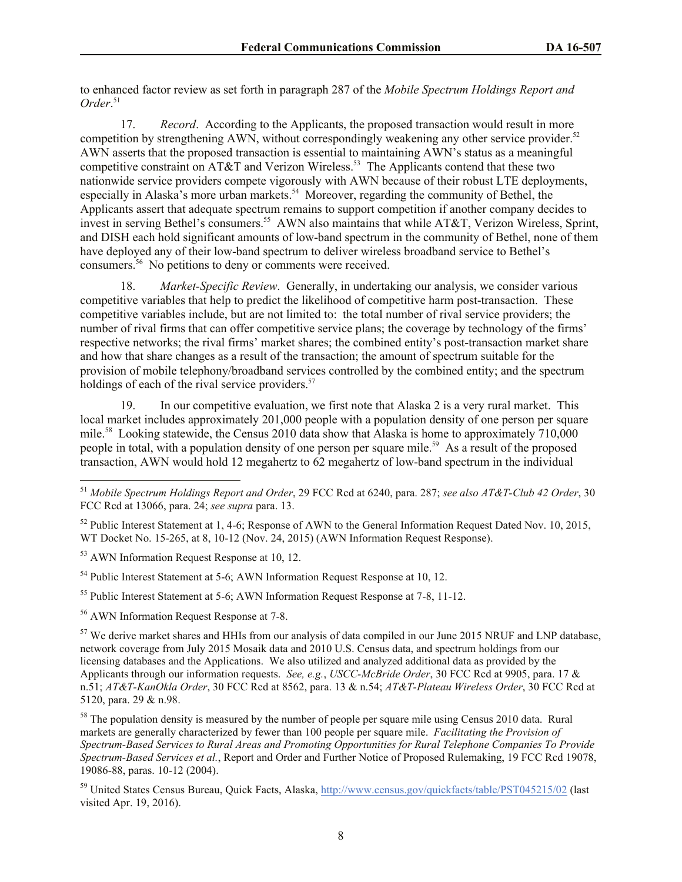to enhanced factor review as set forth in paragraph 287 of the *Mobile Spectrum Holdings Report and Order*. 51

17. *Record*. According to the Applicants, the proposed transaction would result in more competition by strengthening AWN, without correspondingly weakening any other service provider.<sup>52</sup> AWN asserts that the proposed transaction is essential to maintaining AWN's status as a meaningful competitive constraint on AT&T and Verizon Wireless.<sup>53</sup> The Applicants contend that these two nationwide service providers compete vigorously with AWN because of their robust LTE deployments, especially in Alaska's more urban markets.<sup>54</sup> Moreover, regarding the community of Bethel, the Applicants assert that adequate spectrum remains to support competition if another company decides to invest in serving Bethel's consumers.<sup>55</sup> AWN also maintains that while AT&T, Verizon Wireless, Sprint, and DISH each hold significant amounts of low-band spectrum in the community of Bethel, none of them have deployed any of their low-band spectrum to deliver wireless broadband service to Bethel's consumers.<sup>56</sup> No petitions to deny or comments were received.

18. *Market-Specific Review*. Generally, in undertaking our analysis, we consider various competitive variables that help to predict the likelihood of competitive harm post-transaction. These competitive variables include, but are not limited to: the total number of rival service providers; the number of rival firms that can offer competitive service plans; the coverage by technology of the firms' respective networks; the rival firms' market shares; the combined entity's post-transaction market share and how that share changes as a result of the transaction; the amount of spectrum suitable for the provision of mobile telephony/broadband services controlled by the combined entity; and the spectrum holdings of each of the rival service providers. $57$ 

19. In our competitive evaluation, we first note that Alaska 2 is a very rural market. This local market includes approximately 201,000 people with a population density of one person per square mile.<sup>58</sup> Looking statewide, the Census 2010 data show that Alaska is home to approximately 710,000 people in total, with a population density of one person per square mile.<sup>59</sup> As a result of the proposed transaction, AWN would hold 12 megahertz to 62 megahertz of low-band spectrum in the individual

 $\overline{\phantom{a}}$ 

<sup>54</sup> Public Interest Statement at 5-6; AWN Information Request Response at 10, 12.

<sup>55</sup> Public Interest Statement at 5-6; AWN Information Request Response at 7-8, 11-12.

<sup>56</sup> AWN Information Request Response at 7-8.

<sup>57</sup> We derive market shares and HHIs from our analysis of data compiled in our June 2015 NRUF and LNP database. network coverage from July 2015 Mosaik data and 2010 U.S. Census data, and spectrum holdings from our licensing databases and the Applications. We also utilized and analyzed additional data as provided by the Applicants through our information requests. *See, e.g.*, *USCC-McBride Order*, 30 FCC Rcd at 9905, para. 17 & n.51; *AT&T-KanOkla Order*, 30 FCC Rcd at 8562, para. 13 & n.54; *AT&T-Plateau Wireless Order*, 30 FCC Rcd at 5120, para. 29 & n.98.

<sup>58</sup> The population density is measured by the number of people per square mile using Census 2010 data. Rural markets are generally characterized by fewer than 100 people per square mile. *Facilitating the Provision of Spectrum-Based Services to Rural Areas and Promoting Opportunities for Rural Telephone Companies To Provide Spectrum-Based Services et al.*, Report and Order and Further Notice of Proposed Rulemaking, 19 FCC Rcd 19078, 19086-88, paras. 10-12 (2004).

<sup>59</sup> United States Census Bureau, Quick Facts, Alaska, http://www.census.gov/quickfacts/table/PST045215/02 (last visited Apr. 19, 2016).

<sup>51</sup> *Mobile Spectrum Holdings Report and Order*, 29 FCC Rcd at 6240, para. 287; *see also AT&T-Club 42 Order*, 30 FCC Rcd at 13066, para. 24; *see supra* para. 13.

<sup>&</sup>lt;sup>52</sup> Public Interest Statement at 1, 4-6; Response of AWN to the General Information Request Dated Nov. 10, 2015, WT Docket No. 15-265, at 8, 10-12 (Nov. 24, 2015) (AWN Information Request Response).

<sup>53</sup> AWN Information Request Response at 10, 12.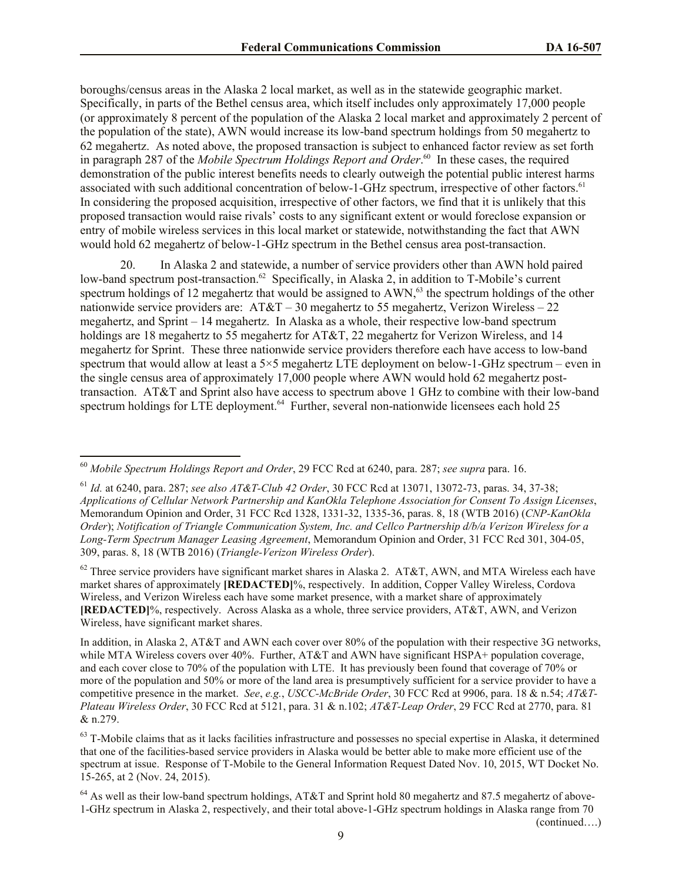boroughs/census areas in the Alaska 2 local market, as well as in the statewide geographic market. Specifically, in parts of the Bethel census area, which itself includes only approximately 17,000 people (or approximately 8 percent of the population of the Alaska 2 local market and approximately 2 percent of the population of the state), AWN would increase its low-band spectrum holdings from 50 megahertz to 62 megahertz. As noted above, the proposed transaction is subject to enhanced factor review as set forth in paragraph 287 of the *Mobile Spectrum Holdings Report and Order*. <sup>60</sup> In these cases, the required demonstration of the public interest benefits needs to clearly outweigh the potential public interest harms associated with such additional concentration of below-1-GHz spectrum, irrespective of other factors.<sup>61</sup> In considering the proposed acquisition, irrespective of other factors, we find that it is unlikely that this proposed transaction would raise rivals' costs to any significant extent or would foreclose expansion or entry of mobile wireless services in this local market or statewide, notwithstanding the fact that AWN would hold 62 megahertz of below-1-GHz spectrum in the Bethel census area post-transaction.

20. In Alaska 2 and statewide, a number of service providers other than AWN hold paired low-band spectrum post-transaction.<sup>62</sup> Specifically, in Alaska 2, in addition to T-Mobile's current spectrum holdings of 12 megahertz that would be assigned to AWN,<sup>63</sup> the spectrum holdings of the other nationwide service providers are: AT&T – 30 megahertz to 55 megahertz, Verizon Wireless – 22 megahertz, and Sprint – 14 megahertz. In Alaska as a whole, their respective low-band spectrum holdings are 18 megahertz to 55 megahertz for AT&T, 22 megahertz for Verizon Wireless, and 14 megahertz for Sprint. These three nationwide service providers therefore each have access to low-band spectrum that would allow at least a 5×5 megahertz LTE deployment on below-1-GHz spectrum – even in the single census area of approximately 17,000 people where AWN would hold 62 megahertz posttransaction. AT&T and Sprint also have access to spectrum above 1 GHz to combine with their low-band spectrum holdings for LTE deployment.<sup>64</sup> Further, several non-nationwide licensees each hold 25

 $\overline{\phantom{a}}$ 

 $62$  Three service providers have significant market shares in Alaska 2. AT&T, AWN, and MTA Wireless each have market shares of approximately **[REDACTED]**%, respectively. In addition, Copper Valley Wireless, Cordova Wireless, and Verizon Wireless each have some market presence, with a market share of approximately **[REDACTED]**%, respectively. Across Alaska as a whole, three service providers, AT&T, AWN, and Verizon Wireless, have significant market shares.

(continued….)

<sup>60</sup> *Mobile Spectrum Holdings Report and Order*, 29 FCC Rcd at 6240, para. 287; *see supra* para. 16.

<sup>61</sup> *Id.* at 6240, para. 287; *see also AT&T-Club 42 Order*, 30 FCC Rcd at 13071, 13072-73, paras. 34, 37-38; *Applications of Cellular Network Partnership and KanOkla Telephone Association for Consent To Assign Licenses*, Memorandum Opinion and Order, 31 FCC Rcd 1328, 1331-32, 1335-36, paras. 8, 18 (WTB 2016) (*CNP-KanOkla Order*); *Notification of Triangle Communication System, Inc. and Cellco Partnership d/b/a Verizon Wireless for a Long-Term Spectrum Manager Leasing Agreement*, Memorandum Opinion and Order, 31 FCC Rcd 301, 304-05, 309, paras. 8, 18 (WTB 2016) (*Triangle-Verizon Wireless Order*).

In addition, in Alaska 2, AT&T and AWN each cover over 80% of the population with their respective 3G networks, while MTA Wireless covers over 40%. Further, AT&T and AWN have significant HSPA+ population coverage, and each cover close to 70% of the population with LTE. It has previously been found that coverage of 70% or more of the population and 50% or more of the land area is presumptively sufficient for a service provider to have a competitive presence in the market. *See*, *e.g.*, *USCC-McBride Order*, 30 FCC Rcd at 9906, para. 18 & n.54; *AT&T-Plateau Wireless Order*, 30 FCC Rcd at 5121, para. 31 & n.102; *AT&T-Leap Order*, 29 FCC Rcd at 2770, para. 81 & n.279.

 $63$  T-Mobile claims that as it lacks facilities infrastructure and possesses no special expertise in Alaska, it determined that one of the facilities-based service providers in Alaska would be better able to make more efficient use of the spectrum at issue. Response of T-Mobile to the General Information Request Dated Nov. 10, 2015, WT Docket No. 15-265, at 2 (Nov. 24, 2015).

<sup>&</sup>lt;sup>64</sup> As well as their low-band spectrum holdings, AT&T and Sprint hold 80 megahertz and 87.5 megahertz of above-1-GHz spectrum in Alaska 2, respectively, and their total above-1-GHz spectrum holdings in Alaska range from 70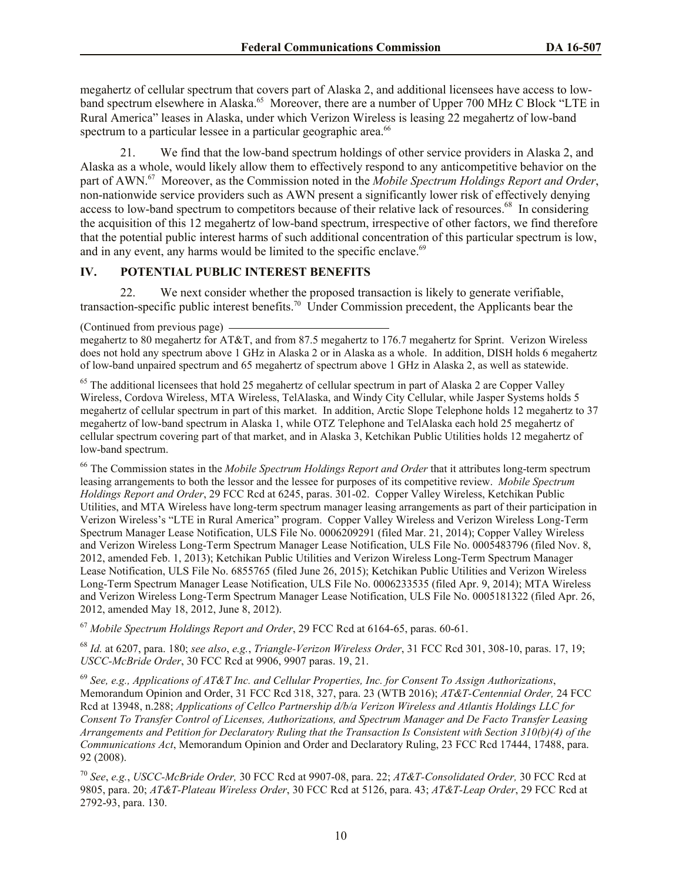megahertz of cellular spectrum that covers part of Alaska 2, and additional licensees have access to lowband spectrum elsewhere in Alaska.<sup>65</sup> Moreover, there are a number of Upper 700 MHz C Block "LTE in Rural America" leases in Alaska, under which Verizon Wireless is leasing 22 megahertz of low-band spectrum to a particular lessee in a particular geographic area.<sup>66</sup>

21. We find that the low-band spectrum holdings of other service providers in Alaska 2, and Alaska as a whole, would likely allow them to effectively respond to any anticompetitive behavior on the part of AWN. 67 Moreover, as the Commission noted in the *Mobile Spectrum Holdings Report and Order*, non-nationwide service providers such as AWN present a significantly lower risk of effectively denying access to low-band spectrum to competitors because of their relative lack of resources.<sup>68</sup> In considering the acquisition of this 12 megahertz of low-band spectrum, irrespective of other factors, we find therefore that the potential public interest harms of such additional concentration of this particular spectrum is low, and in any event, any harms would be limited to the specific enclave.<sup>69</sup>

# **IV. POTENTIAL PUBLIC INTEREST BENEFITS**

22. We next consider whether the proposed transaction is likely to generate verifiable, transaction-specific public interest benefits. 70 Under Commission precedent, the Applicants bear the

(Continued from previous page)

megahertz to 80 megahertz for AT&T, and from 87.5 megahertz to 176.7 megahertz for Sprint. Verizon Wireless does not hold any spectrum above 1 GHz in Alaska 2 or in Alaska as a whole. In addition, DISH holds 6 megahertz of low-band unpaired spectrum and 65 megahertz of spectrum above 1 GHz in Alaska 2, as well as statewide.

<sup>65</sup> The additional licensees that hold 25 megahertz of cellular spectrum in part of Alaska 2 are Copper Valley Wireless, Cordova Wireless, MTA Wireless, TelAlaska, and Windy City Cellular, while Jasper Systems holds 5 megahertz of cellular spectrum in part of this market. In addition, Arctic Slope Telephone holds 12 megahertz to 37 megahertz of low-band spectrum in Alaska 1, while OTZ Telephone and TelAlaska each hold 25 megahertz of cellular spectrum covering part of that market, and in Alaska 3, Ketchikan Public Utilities holds 12 megahertz of low-band spectrum.

<sup>66</sup> The Commission states in the *Mobile Spectrum Holdings Report and Order* that it attributes long-term spectrum leasing arrangements to both the lessor and the lessee for purposes of its competitive review. *Mobile Spectrum Holdings Report and Order*, 29 FCC Rcd at 6245, paras. 301-02. Copper Valley Wireless, Ketchikan Public Utilities, and MTA Wireless have long-term spectrum manager leasing arrangements as part of their participation in Verizon Wireless's "LTE in Rural America" program. Copper Valley Wireless and Verizon Wireless Long-Term Spectrum Manager Lease Notification, ULS File No. 0006209291 (filed Mar. 21, 2014); Copper Valley Wireless and Verizon Wireless Long-Term Spectrum Manager Lease Notification, ULS File No. 0005483796 (filed Nov. 8, 2012, amended Feb. 1, 2013); Ketchikan Public Utilities and Verizon Wireless Long-Term Spectrum Manager Lease Notification, ULS File No. 6855765 (filed June 26, 2015); Ketchikan Public Utilities and Verizon Wireless Long-Term Spectrum Manager Lease Notification, ULS File No. 0006233535 (filed Apr. 9, 2014); MTA Wireless and Verizon Wireless Long-Term Spectrum Manager Lease Notification, ULS File No. 0005181322 (filed Apr. 26, 2012, amended May 18, 2012, June 8, 2012).

<sup>67</sup> *Mobile Spectrum Holdings Report and Order*, 29 FCC Rcd at 6164-65, paras. 60-61.

<sup>68</sup> *Id.* at 6207, para. 180; *see also*, *e.g.*, *Triangle-Verizon Wireless Order*, 31 FCC Rcd 301, 308-10, paras. 17, 19; *USCC-McBride Order*, 30 FCC Rcd at 9906, 9907 paras. 19, 21.

<sup>69</sup> *See, e.g., Applications of AT&T Inc. and Cellular Properties, Inc. for Consent To Assign Authorizations*, Memorandum Opinion and Order, 31 FCC Rcd 318, 327, para. 23 (WTB 2016); *AT&T-Centennial Order,* 24 FCC Rcd at 13948, n.288; *Applications of Cellco Partnership d/b/a Verizon Wireless and Atlantis Holdings LLC for Consent To Transfer Control of Licenses, Authorizations, and Spectrum Manager and De Facto Transfer Leasing Arrangements and Petition for Declaratory Ruling that the Transaction Is Consistent with Section 310(b)(4) of the Communications Act*, Memorandum Opinion and Order and Declaratory Ruling, 23 FCC Rcd 17444, 17488, para. 92 (2008).

<sup>70</sup> *See*, *e.g.*, *USCC-McBride Order,* 30 FCC Rcd at 9907-08, para. 22; *AT&T-Consolidated Order,* 30 FCC Rcd at 9805, para. 20; *AT&T-Plateau Wireless Order*, 30 FCC Rcd at 5126, para. 43; *AT&T-Leap Order*, 29 FCC Rcd at 2792-93, para. 130.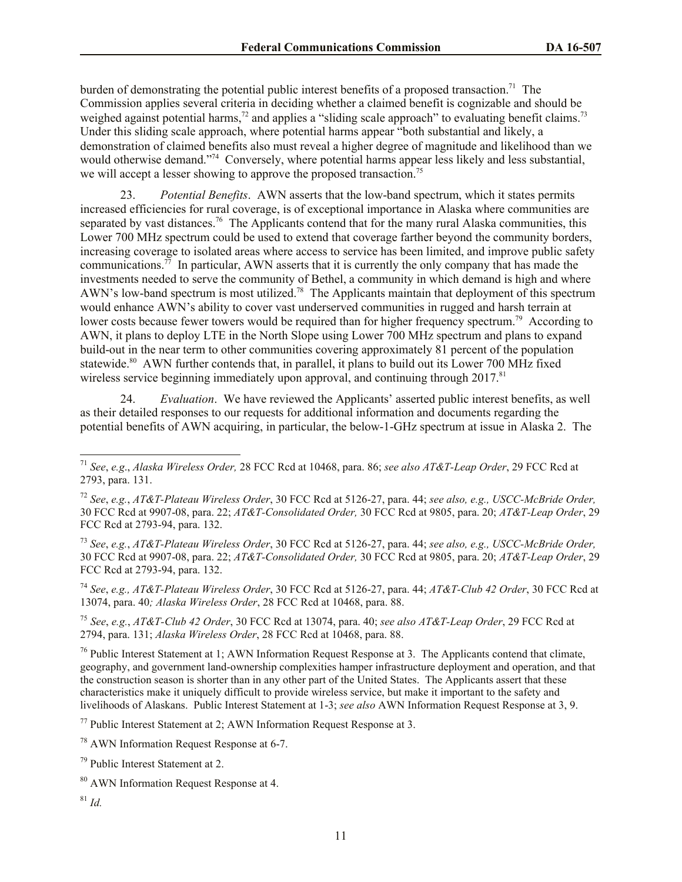burden of demonstrating the potential public interest benefits of a proposed transaction.<sup>71</sup> The Commission applies several criteria in deciding whether a claimed benefit is cognizable and should be weighed against potential harms,<sup>72</sup> and applies a "sliding scale approach" to evaluating benefit claims.<sup>73</sup> Under this sliding scale approach, where potential harms appear "both substantial and likely, a demonstration of claimed benefits also must reveal a higher degree of magnitude and likelihood than we would otherwise demand."<sup>74</sup> Conversely, where potential harms appear less likely and less substantial, we will accept a lesser showing to approve the proposed transaction.<sup>75</sup>

23. *Potential Benefits*. AWN asserts that the low-band spectrum, which it states permits increased efficiencies for rural coverage, is of exceptional importance in Alaska where communities are separated by vast distances.<sup>76</sup> The Applicants contend that for the many rural Alaska communities, this Lower 700 MHz spectrum could be used to extend that coverage farther beyond the community borders, increasing coverage to isolated areas where access to service has been limited, and improve public safety communications.<sup>77</sup> In particular, AWN asserts that it is currently the only company that has made the investments needed to serve the community of Bethel, a community in which demand is high and where AWN's low-band spectrum is most utilized.<sup>78</sup> The Applicants maintain that deployment of this spectrum would enhance AWN's ability to cover vast underserved communities in rugged and harsh terrain at lower costs because fewer towers would be required than for higher frequency spectrum.<sup>79</sup> According to AWN, it plans to deploy LTE in the North Slope using Lower 700 MHz spectrum and plans to expand build-out in the near term to other communities covering approximately 81 percent of the population statewide.<sup>80</sup> AWN further contends that, in parallel, it plans to build out its Lower 700 MHz fixed wireless service beginning immediately upon approval, and continuing through  $2017<sup>81</sup>$ 

24. *Evaluation*. We have reviewed the Applicants' asserted public interest benefits, as well as their detailed responses to our requests for additional information and documents regarding the potential benefits of AWN acquiring, in particular, the below-1-GHz spectrum at issue in Alaska 2. The

<sup>73</sup> *See*, *e.g.*, *AT&T-Plateau Wireless Order*, 30 FCC Rcd at 5126-27, para. 44; *see also, e.g., USCC-McBride Order,* 30 FCC Rcd at 9907-08, para. 22; *AT&T-Consolidated Order,* 30 FCC Rcd at 9805, para. 20; *AT&T-Leap Order*, 29 FCC Rcd at 2793-94, para. 132.

<sup>74</sup> *See*, *e.g., AT&T-Plateau Wireless Order*, 30 FCC Rcd at 5126-27, para. 44; *AT&T-Club 42 Order*, 30 FCC Rcd at 13074, para. 40*; Alaska Wireless Order*, 28 FCC Rcd at 10468, para. 88.

<sup>75</sup> *See*, *e.g.*, *AT&T-Club 42 Order*, 30 FCC Rcd at 13074, para. 40; *see also AT&T-Leap Order*, 29 FCC Rcd at 2794, para. 131; *Alaska Wireless Order*, 28 FCC Rcd at 10468, para. 88.

<sup>76</sup> Public Interest Statement at 1; AWN Information Request Response at 3. The Applicants contend that climate, geography, and government land-ownership complexities hamper infrastructure deployment and operation, and that the construction season is shorter than in any other part of the United States. The Applicants assert that these characteristics make it uniquely difficult to provide wireless service, but make it important to the safety and livelihoods of Alaskans. Public Interest Statement at 1-3; *see also* AWN Information Request Response at 3, 9.

<sup>77</sup> Public Interest Statement at 2; AWN Information Request Response at 3.

<sup>78</sup> AWN Information Request Response at 6-7.

l

<sup>71</sup> *See*, *e.g*., *Alaska Wireless Order,* 28 FCC Rcd at 10468, para. 86; *see also AT&T-Leap Order*, 29 FCC Rcd at 2793, para. 131.

<sup>72</sup> *See*, *e.g.*, *AT&T-Plateau Wireless Order*, 30 FCC Rcd at 5126-27, para. 44; *see also, e.g., USCC-McBride Order,* 30 FCC Rcd at 9907-08, para. 22; *AT&T-Consolidated Order,* 30 FCC Rcd at 9805, para. 20; *AT&T-Leap Order*, 29 FCC Rcd at 2793-94, para. 132.

<sup>79</sup> Public Interest Statement at 2.

<sup>80</sup> AWN Information Request Response at 4.

<sup>81</sup> *Id.*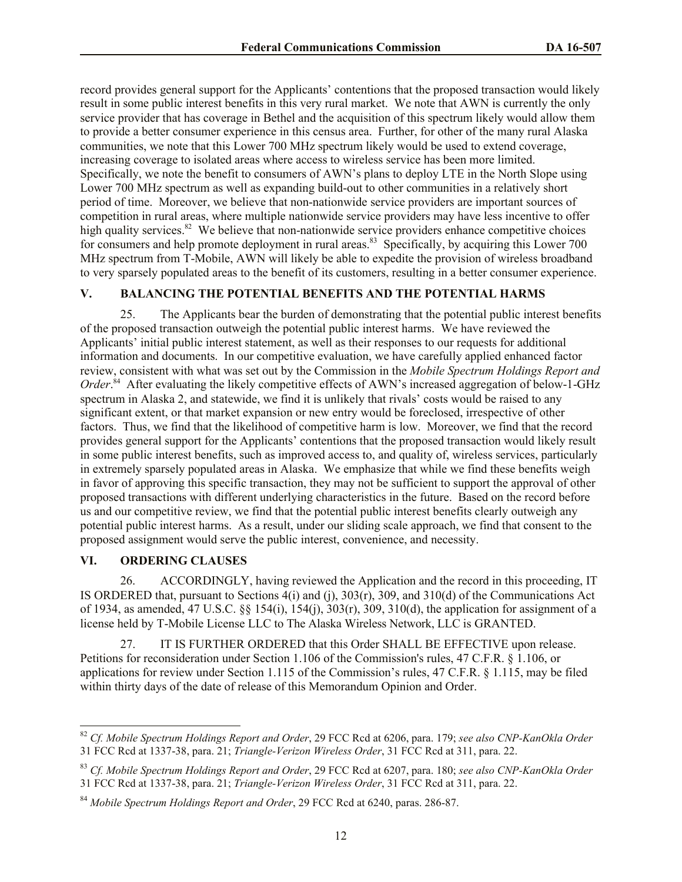record provides general support for the Applicants' contentions that the proposed transaction would likely result in some public interest benefits in this very rural market. We note that AWN is currently the only service provider that has coverage in Bethel and the acquisition of this spectrum likely would allow them to provide a better consumer experience in this census area. Further, for other of the many rural Alaska communities, we note that this Lower 700 MHz spectrum likely would be used to extend coverage, increasing coverage to isolated areas where access to wireless service has been more limited. Specifically, we note the benefit to consumers of AWN's plans to deploy LTE in the North Slope using Lower 700 MHz spectrum as well as expanding build-out to other communities in a relatively short period of time. Moreover, we believe that non-nationwide service providers are important sources of competition in rural areas, where multiple nationwide service providers may have less incentive to offer high quality services.<sup>82</sup> We believe that non-nationwide service providers enhance competitive choices for consumers and help promote deployment in rural areas.<sup>83</sup> Specifically, by acquiring this Lower 700 MHz spectrum from T-Mobile, AWN will likely be able to expedite the provision of wireless broadband to very sparsely populated areas to the benefit of its customers, resulting in a better consumer experience.

# **V. BALANCING THE POTENTIAL BENEFITS AND THE POTENTIAL HARMS**

25. The Applicants bear the burden of demonstrating that the potential public interest benefits of the proposed transaction outweigh the potential public interest harms. We have reviewed the Applicants' initial public interest statement, as well as their responses to our requests for additional information and documents. In our competitive evaluation, we have carefully applied enhanced factor review, consistent with what was set out by the Commission in the *Mobile Spectrum Holdings Report and*  Order.<sup>84</sup> After evaluating the likely competitive effects of AWN's increased aggregation of below-1-GHz spectrum in Alaska 2, and statewide, we find it is unlikely that rivals' costs would be raised to any significant extent, or that market expansion or new entry would be foreclosed, irrespective of other factors. Thus, we find that the likelihood of competitive harm is low. Moreover, we find that the record provides general support for the Applicants' contentions that the proposed transaction would likely result in some public interest benefits, such as improved access to, and quality of, wireless services, particularly in extremely sparsely populated areas in Alaska. We emphasize that while we find these benefits weigh in favor of approving this specific transaction, they may not be sufficient to support the approval of other proposed transactions with different underlying characteristics in the future. Based on the record before us and our competitive review, we find that the potential public interest benefits clearly outweigh any potential public interest harms. As a result, under our sliding scale approach, we find that consent to the proposed assignment would serve the public interest, convenience, and necessity.

# **VI. ORDERING CLAUSES**

l

26. ACCORDINGLY, having reviewed the Application and the record in this proceeding, IT IS ORDERED that, pursuant to Sections 4(i) and (j), 303(r), 309, and 310(d) of the Communications Act of 1934, as amended, 47 U.S.C.  $\S$  154(i), 154(j), 303(r), 309, 310(d), the application for assignment of a license held by T-Mobile License LLC to The Alaska Wireless Network, LLC is GRANTED.

27. IT IS FURTHER ORDERED that this Order SHALL BE EFFECTIVE upon release. Petitions for reconsideration under Section 1.106 of the Commission's rules, 47 C.F.R. § 1.106, or applications for review under Section 1.115 of the Commission's rules, 47 C.F.R. § 1.115, may be filed within thirty days of the date of release of this Memorandum Opinion and Order.

<sup>82</sup> *Cf. Mobile Spectrum Holdings Report and Order*, 29 FCC Rcd at 6206, para. 179; *see also CNP-KanOkla Order* 31 FCC Rcd at 1337-38, para. 21; *Triangle-Verizon Wireless Order*, 31 FCC Rcd at 311, para. 22.

<sup>83</sup> *Cf. Mobile Spectrum Holdings Report and Order*, 29 FCC Rcd at 6207, para. 180; *see also CNP-KanOkla Order* 31 FCC Rcd at 1337-38, para. 21; *Triangle-Verizon Wireless Order*, 31 FCC Rcd at 311, para. 22.

<sup>84</sup> *Mobile Spectrum Holdings Report and Order*, 29 FCC Rcd at 6240, paras. 286-87.